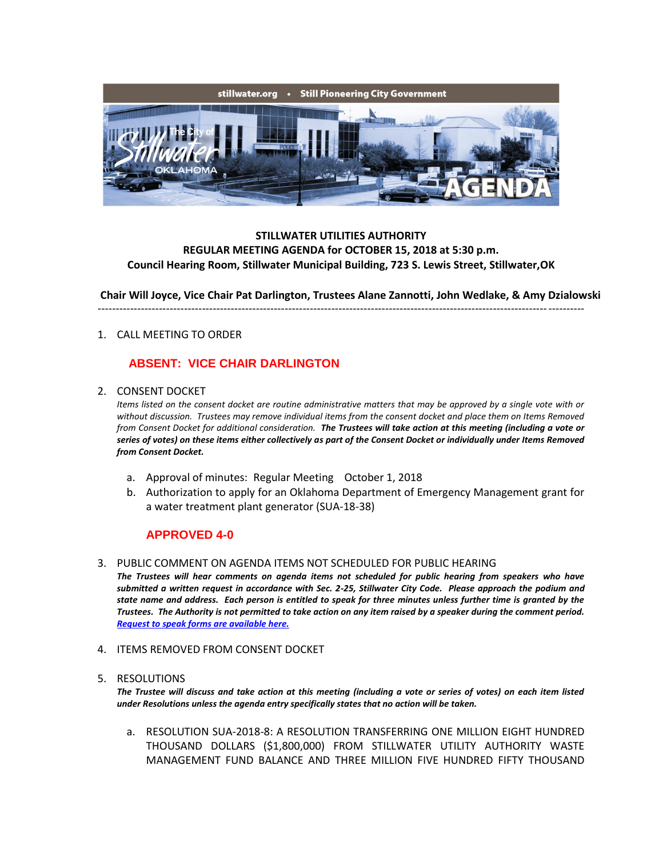

## **STILLWATER UTILITIES AUTHORITY REGULAR MEETING AGENDA for OCTOBER 15, 2018 at 5:30 p.m. Council Hearing Room, Stillwater Municipal Building, 723 S. Lewis Street, Stillwater,OK**

**Chair Will Joyce, Vice Chair Pat Darlington, Trustees Alane Zannotti, John Wedlake, & Amy Dzialowski** ---------------------------------------------------------------------------------------------------------------------------------------

#### 1. CALL MEETING TO ORDER

# **ABSENT: VICE CHAIR DARLINGTON**

2. CONSENT DOCKET

*Items listed on the consent docket are routine administrative matters that may be approved by a single vote with or without discussion. Trustees may remove individual items from the consent docket and place them on Items Removed from Consent Docket for additional consideration. The Trustees will take action at this meeting (including a vote or series of votes) on these items either collectively as part of the Consent Docket or individually under Items Removed from Consent Docket.*

- a. Approval of minutes: Regular Meeting October 1, 2018
- b. Authorization to apply for an Oklahoma Department of Emergency Management grant for a water treatment plant generator (SUA-18-38)

# **APPROVED 4-0**

#### 3. PUBLIC COMMENT ON AGENDA ITEMS NOT SCHEDULED FOR PUBLIC HEARING

*The Trustees will hear comments on agenda items not scheduled for public hearing from speakers who have submitted a written request in accordance with Sec. 2-25, Stillwater City Code. Please approach the podium and state name and address. Each person is entitled to speak for three minutes unless further time is granted by the Trustees. The Authority is not permitted to take action on any item raised by a speaker during the comment period. [Request to speak forms are available here.](http://stillwater.org/document/request_to_speak_at_city_council.php)*

- 4. ITEMS REMOVED FROM CONSENT DOCKET
- 5. RESOLUTIONS

*The Trustee will discuss and take action at this meeting (including a vote or series of votes) on each item listed under Resolutions unless the agenda entry specifically states that no action will be taken.*

a. RESOLUTION SUA-2018-8: A RESOLUTION TRANSFERRING ONE MILLION EIGHT HUNDRED THOUSAND DOLLARS (\$1,800,000) FROM STILLWATER UTILITY AUTHORITY WASTE MANAGEMENT FUND BALANCE AND THREE MILLION FIVE HUNDRED FIFTY THOUSAND